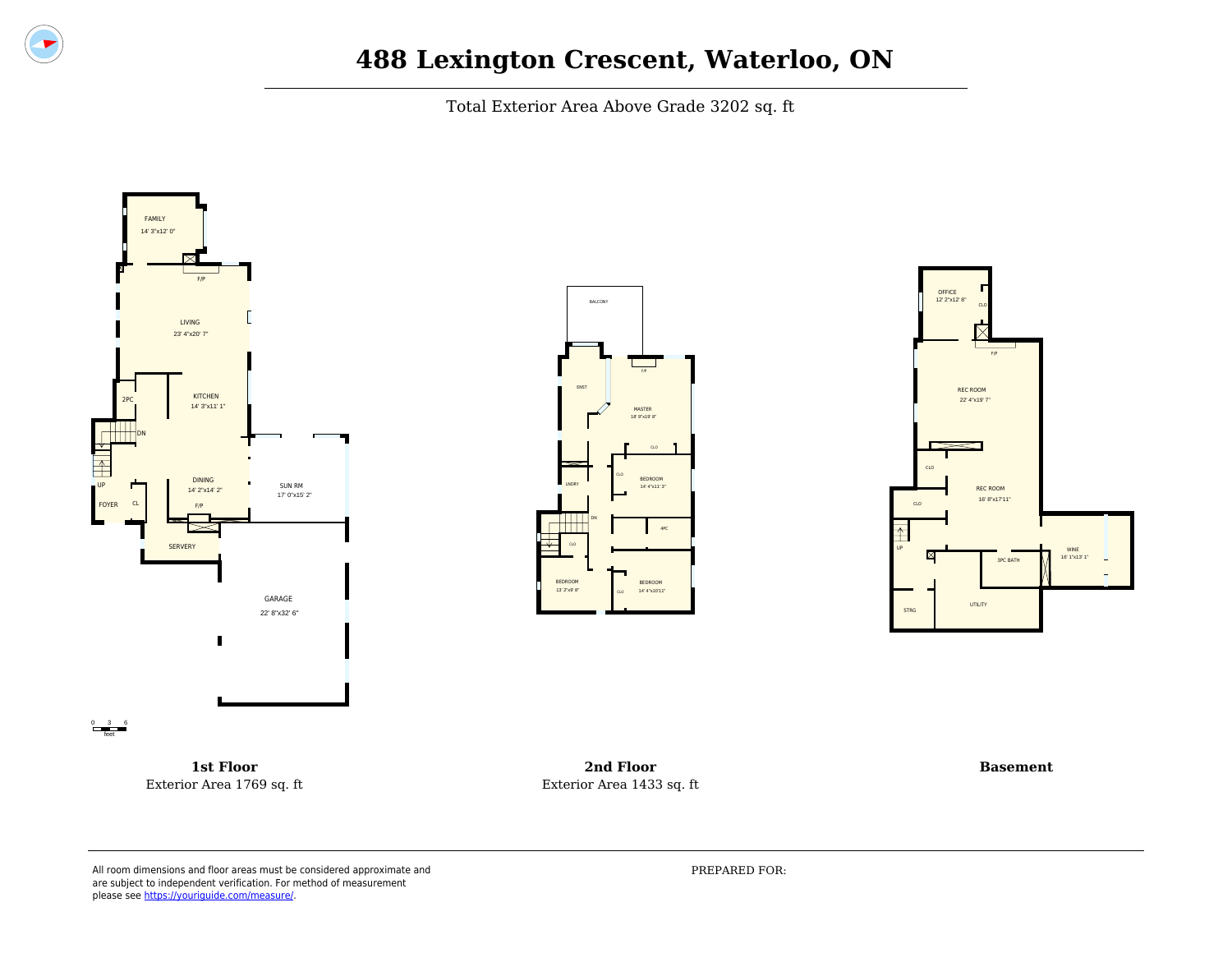

Total Exterior Area Above Grade 3202 sq. ft







**1st Floor** Exterior Area 1769 sq. ft

**2nd Floor** Exterior Area 1433 sq. ft

**Basement**

All room dimensions and floor areas must be considered approximate and are subject to independent verification. For method of measurement please see [https://youriguide.com/measure/.](https://youriguide.com/measure/)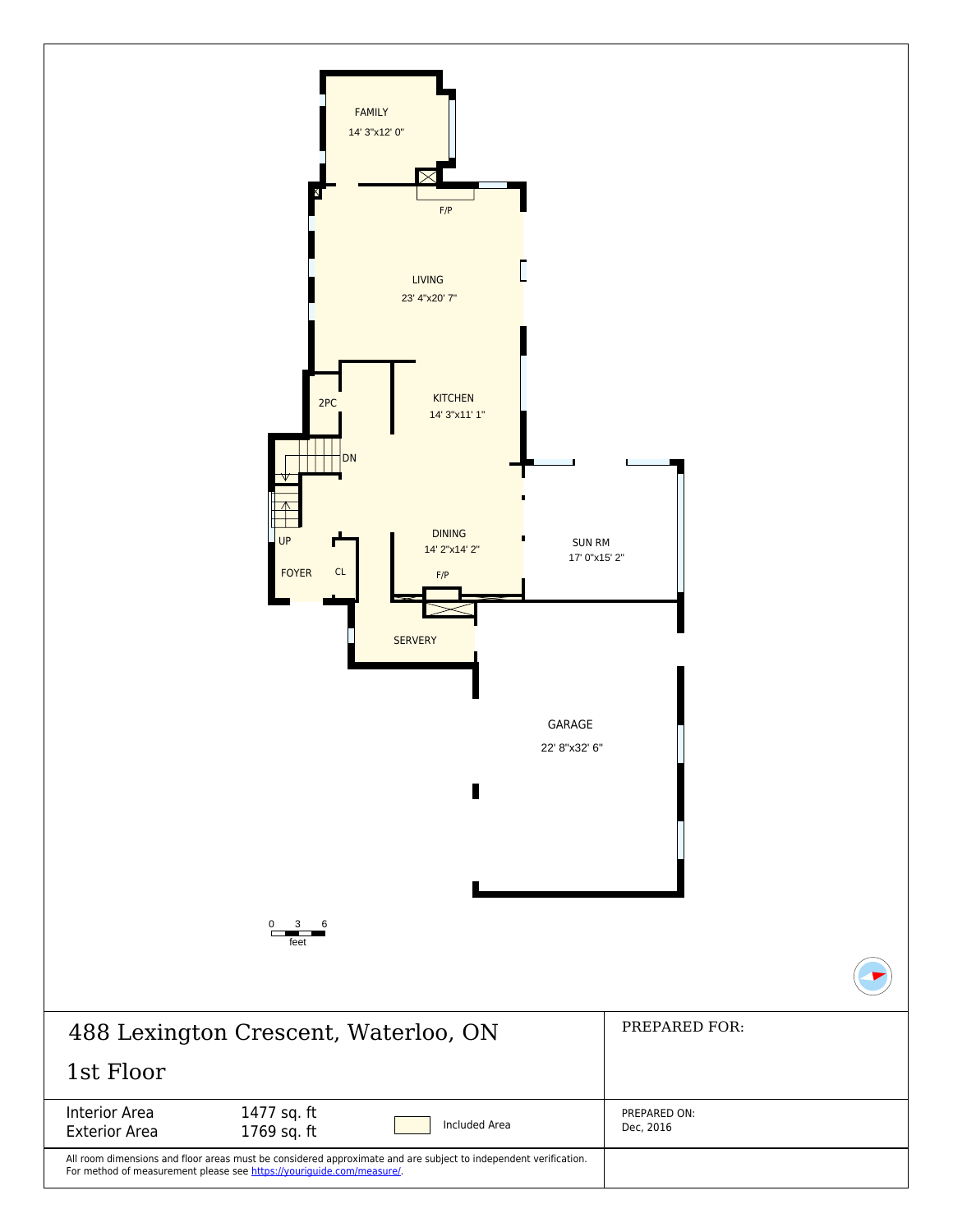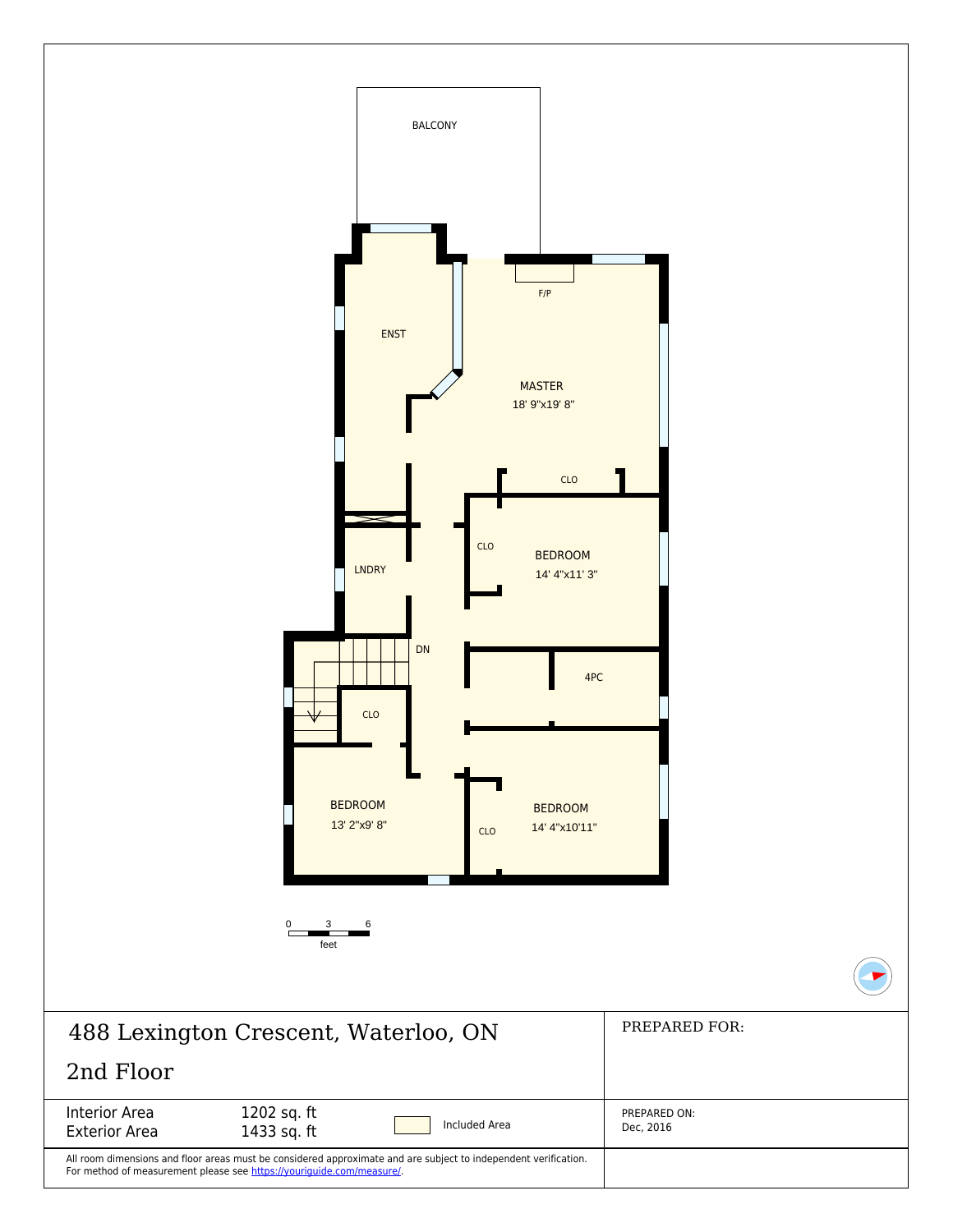